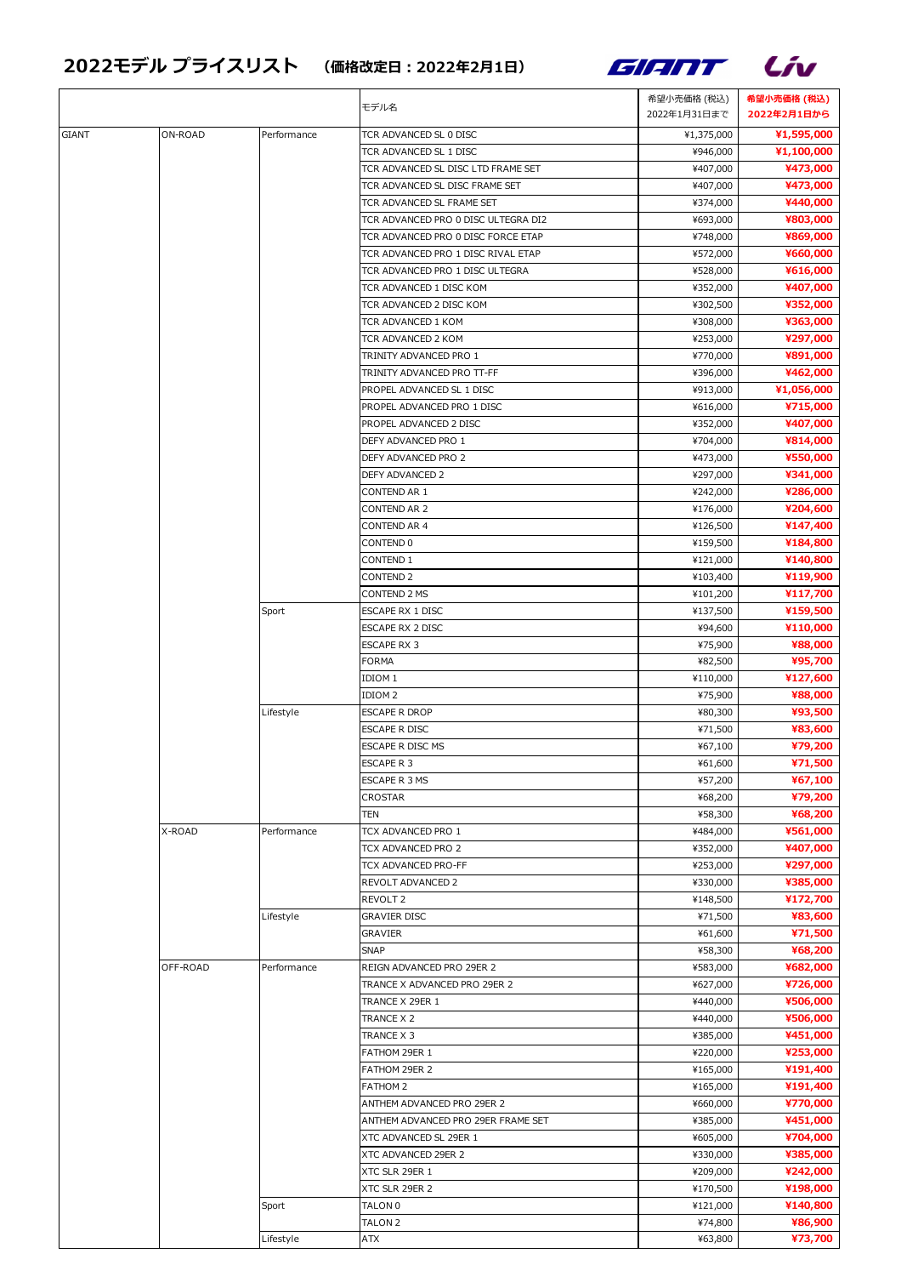## 2022モデル プライスリスト (価格改定日:2022年2月1日) インタン ファイン ファイン





|       |          |             | モデル名                                | 希望小売価格 (税込)  | 希望小売価格 (税込) |
|-------|----------|-------------|-------------------------------------|--------------|-------------|
|       |          |             |                                     | 2022年1月31日まで | 2022年2月1日から |
| GIANT | ON-ROAD  | Performance | TCR ADVANCED SL 0 DISC              | ¥1,375,000   | ¥1,595,000  |
|       |          |             | TCR ADVANCED SL 1 DISC              | ¥946,000     | ¥1,100,000  |
|       |          |             | TCR ADVANCED SL DISC LTD FRAME SET  | ¥407,000     | ¥473,000    |
|       |          |             | TCR ADVANCED SL DISC FRAME SET      | ¥407,000     | ¥473,000    |
|       |          |             | TCR ADVANCED SL FRAME SET           | ¥374,000     | ¥440,000    |
|       |          |             | TCR ADVANCED PRO 0 DISC ULTEGRA DI2 | ¥693,000     | ¥803,000    |
|       |          |             | TCR ADVANCED PRO 0 DISC FORCE ETAP  | ¥748,000     | ¥869,000    |
|       |          |             | TCR ADVANCED PRO 1 DISC RIVAL ETAP  | ¥572,000     | ¥660,000    |
|       |          |             | TCR ADVANCED PRO 1 DISC ULTEGRA     | ¥528,000     | ¥616,000    |
|       |          |             | TCR ADVANCED 1 DISC KOM             | ¥352,000     | ¥407,000    |
|       |          |             | TCR ADVANCED 2 DISC KOM             | ¥302,500     | ¥352,000    |
|       |          |             | TCR ADVANCED 1 KOM                  | ¥308,000     | ¥363,000    |
|       |          |             | TCR ADVANCED 2 KOM                  | ¥253,000     | ¥297,000    |
|       |          |             | TRINITY ADVANCED PRO 1              | ¥770,000     | ¥891,000    |
|       |          |             | TRINITY ADVANCED PRO TT-FF          | ¥396,000     | ¥462,000    |
|       |          |             | PROPEL ADVANCED SL 1 DISC           | ¥913,000     | ¥1,056,000  |
|       |          |             | PROPEL ADVANCED PRO 1 DISC          | ¥616,000     | ¥715,000    |
|       |          |             | PROPEL ADVANCED 2 DISC              | ¥352,000     | ¥407,000    |
|       |          |             | DEFY ADVANCED PRO 1                 | ¥704,000     | ¥814,000    |
|       |          |             | DEFY ADVANCED PRO 2                 | ¥473,000     | ¥550,000    |
|       |          |             | DEFY ADVANCED 2                     | ¥297,000     | ¥341,000    |
|       |          |             | CONTEND AR 1                        | ¥242,000     | ¥286,000    |
|       |          |             | CONTEND AR 2                        | ¥176,000     | ¥204,600    |
|       |          |             | CONTEND AR 4                        | ¥126,500     | ¥147,400    |
|       |          |             | CONTEND 0                           | ¥159,500     | ¥184,800    |
|       |          |             | CONTEND 1                           | ¥121,000     | ¥140,800    |
|       |          |             | CONTEND <sub>2</sub>                | ¥103,400     | ¥119,900    |
|       |          |             | CONTEND 2 MS                        | ¥101,200     | ¥117,700    |
|       |          | Sport       | ESCAPE RX 1 DISC                    | ¥137,500     | ¥159,500    |
|       |          |             | ESCAPE RX 2 DISC                    | ¥94,600      | ¥110,000    |
|       |          |             | <b>ESCAPE RX 3</b>                  | ¥75,900      | ¥88,000     |
|       |          |             | <b>FORMA</b>                        | ¥82,500      | ¥95,700     |
|       |          |             | IDIOM 1                             | ¥110,000     | ¥127,600    |
|       |          |             | IDIOM <sub>2</sub>                  | ¥75,900      | ¥88,000     |
|       |          | Lifestyle   | <b>ESCAPE R DROP</b>                | ¥80,300      | ¥93,500     |
|       |          |             | ESCAPE R DISC                       | ¥71,500      | ¥83,600     |
|       |          |             | ESCAPE R DISC MS                    | ¥67,100      | ¥79,200     |
|       |          |             | ESCAPE R 3                          | ¥61,600      | ¥71,500     |
|       |          |             | ESCAPE R 3 MS                       | ¥57,200      | ¥67,100     |
|       |          |             | CROSTAR                             | ¥68,200      | ¥79,200     |
|       |          |             | TEN                                 | ¥58,300      | ¥68,200     |
|       | X-ROAD   | Performance | TCX ADVANCED PRO 1                  | ¥484,000     | ¥561,000    |
|       |          |             | TCX ADVANCED PRO 2                  | ¥352,000     | ¥407,000    |
|       |          |             | TCX ADVANCED PRO-FF                 | ¥253,000     | ¥297,000    |
|       |          |             | REVOLT ADVANCED 2                   | ¥330,000     | ¥385,000    |
|       |          |             | REVOLT 2                            | ¥148,500     | ¥172,700    |
|       |          | Lifestyle   | <b>GRAVIER DISC</b>                 | ¥71,500      | ¥83,600     |
|       |          |             | <b>GRAVIER</b>                      | ¥61,600      | ¥71,500     |
|       |          |             | <b>SNAP</b>                         | ¥58,300      | ¥68,200     |
|       | OFF-ROAD | Performance | REIGN ADVANCED PRO 29ER 2           | ¥583,000     | ¥682,000    |
|       |          |             | TRANCE X ADVANCED PRO 29ER 2        | ¥627,000     | ¥726,000    |
|       |          |             | TRANCE X 29ER 1                     | ¥440,000     | ¥506,000    |
|       |          |             | TRANCE X 2                          | ¥440,000     | ¥506,000    |
|       |          |             | TRANCE X 3                          | ¥385,000     | ¥451,000    |
|       |          |             | FATHOM 29ER 1                       | ¥220,000     | ¥253,000    |
|       |          |             | FATHOM 29ER 2                       | ¥165,000     | ¥191,400    |
|       |          |             | FATHOM 2                            | ¥165,000     | ¥191,400    |
|       |          |             | ANTHEM ADVANCED PRO 29ER 2          | ¥660,000     | ¥770,000    |
|       |          |             | ANTHEM ADVANCED PRO 29ER FRAME SET  | ¥385,000     | ¥451,000    |
|       |          |             | XTC ADVANCED SL 29ER 1              | ¥605,000     | ¥704,000    |
|       |          |             | XTC ADVANCED 29ER 2                 | ¥330,000     | ¥385,000    |
|       |          |             | XTC SLR 29ER 1                      | ¥209,000     | ¥242,000    |
|       |          |             | XTC SLR 29ER 2                      | ¥170,500     | ¥198,000    |
|       |          | Sport       | TALON 0                             | ¥121,000     | ¥140,800    |
|       |          |             | TALON 2                             | ¥74,800      | ¥86,900     |
|       |          | Lifestyle   | ATX                                 | ¥63,800      | ¥73,700     |